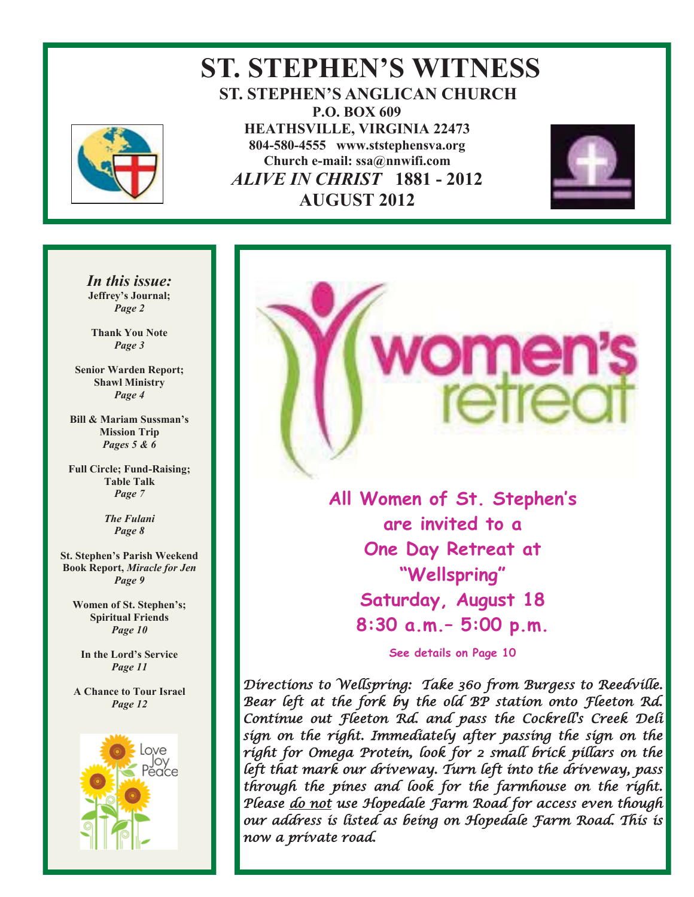

# **ST. STEPHEN'S WITNESS ST. STEPHEN'S ANGLICAN CHURCH P.O. BOX 609 HEATHSVILLE, VIRGINIA 22473 804-580-4555 www.ststephensva.org Church e-mail: ssa@nnwifi.com**   *ALIVE IN CHRIST* **1881 - 2012 AUGUST 2012**



*In this issue:*  **Jeffrey's Journal;** *Page 2* 

**Thank You Note**  *Page 3* 

**Senior Warden Report; Shawl Ministry**  *Page 4* 

**Bill & Mariam Sussman's Mission Trip**  *Pages 5 & 6* 

**Full Circle; Fund-Raising; Table Talk**  *Page 7* 

> *The Fulani Page 8*

**St. Stephen's Parish Weekend Book Report,** *Miracle for Jen Page 9* 

**Women of St. Stephen's; Spiritual Friends**  *Page 10* 

**In the Lord's Service** *Page 11* 

**A Chance to Tour Israel**  *Page 12* 



**All Women of St. Stephen's are invited to a One Day Retreat at "Wellspring" Saturday, August 18 8:30 a.m.– 5:00 p.m.** 

ome

**See details on Page 10** 

Directions to Wellspring: Take 360 from Burgess to Reedville. Bear left at the fork by the old BP station onto Fleeton Rd. Continue out Fleeton Rd. and pass the Cockrell's Creek Deli sign on the right. Immediately after passing the sign on the right for Omega Protein, look for 2 small brick pillars on the left that mark our driveway. Turn left into the driveway, pass through the pines and look for the farmhouse on the right. Please <u>do not</u> use Hopedale Farm Road for access even though our address is listed as being on Hopedale Farm Road. This is now a private road.

Ī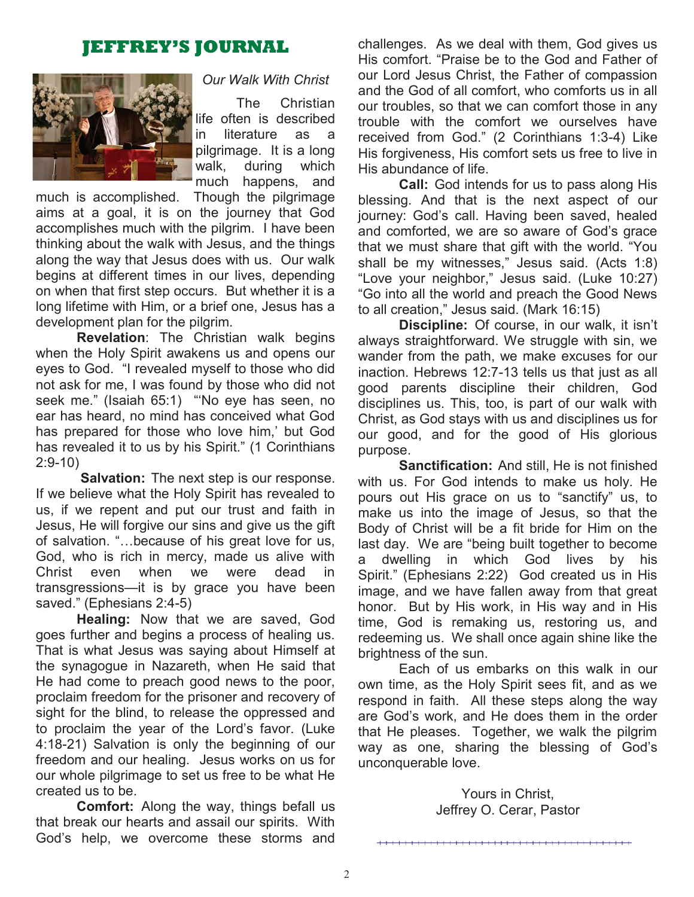# **JEFFREY'S JOURNAL**



### *Our Walk With Christ*

 The Christian life often is described in literature as a pilgrimage. It is a long walk, during which much happens, and

much is accomplished. Though the pilgrimage aims at a goal, it is on the journey that God accomplishes much with the pilgrim. I have been thinking about the walk with Jesus, and the things along the way that Jesus does with us. Our walk begins at different times in our lives, depending on when that first step occurs. But whether it is a long lifetime with Him, or a brief one, Jesus has a development plan for the pilgrim.

**Revelation**: The Christian walk begins when the Holy Spirit awakens us and opens our eyes to God. "I revealed myself to those who did not ask for me, I was found by those who did not seek me." (Isaiah 65:1) "'No eye has seen, no ear has heard, no mind has conceived what God has prepared for those who love him,' but God has revealed it to us by his Spirit." (1 Corinthians 2:9-10)

 **Salvation:** The next step is our response. If we believe what the Holy Spirit has revealed to us, if we repent and put our trust and faith in Jesus, He will forgive our sins and give us the gift of salvation. "…because of his great love for us, God, who is rich in mercy, made us alive with Christ even when we were dead in transgressions—it is by grace you have been saved." (Ephesians 2:4-5)

**Healing:** Now that we are saved, God goes further and begins a process of healing us. That is what Jesus was saying about Himself at the synagogue in Nazareth, when He said that He had come to preach good news to the poor, proclaim freedom for the prisoner and recovery of sight for the blind, to release the oppressed and to proclaim the year of the Lord's favor. (Luke 4:18-21) Salvation is only the beginning of our freedom and our healing. Jesus works on us for our whole pilgrimage to set us free to be what He created us to be.

**Comfort:** Along the way, things befall us that break our hearts and assail our spirits. With God's help, we overcome these storms and

challenges. As we deal with them, God gives us His comfort. "Praise be to the God and Father of our Lord Jesus Christ, the Father of compassion and the God of all comfort, who comforts us in all our troubles, so that we can comfort those in any trouble with the comfort we ourselves have received from God." (2 Corinthians 1:3-4) Like His forgiveness, His comfort sets us free to live in His abundance of life.

**Call:** God intends for us to pass along His blessing. And that is the next aspect of our journey: God's call. Having been saved, healed and comforted, we are so aware of God's grace that we must share that gift with the world. "You shall be my witnesses," Jesus said. (Acts 1:8) "Love your neighbor," Jesus said. (Luke 10:27) "Go into all the world and preach the Good News to all creation," Jesus said. (Mark 16:15)

**Discipline:** Of course, in our walk, it isn't always straightforward. We struggle with sin, we wander from the path, we make excuses for our inaction. Hebrews 12:7-13 tells us that just as all good parents discipline their children, God disciplines us. This, too, is part of our walk with Christ, as God stays with us and disciplines us for our good, and for the good of His glorious purpose.

**Sanctification:** And still, He is not finished with us. For God intends to make us holy. He pours out His grace on us to "sanctify" us, to make us into the image of Jesus, so that the Body of Christ will be a fit bride for Him on the last day. We are "being built together to become a dwelling in which God lives by his Spirit." (Ephesians 2:22) God created us in His image, and we have fallen away from that great honor. But by His work, in His way and in His time, God is remaking us, restoring us, and redeeming us. We shall once again shine like the brightness of the sun.

 Each of us embarks on this walk in our own time, as the Holy Spirit sees fit, and as we respond in faith. All these steps along the way are God's work, and He does them in the order that He pleases. Together, we walk the pilgrim way as one, sharing the blessing of God's unconquerable love.

> Yours in Christ, Jeffrey O. Cerar, Pastor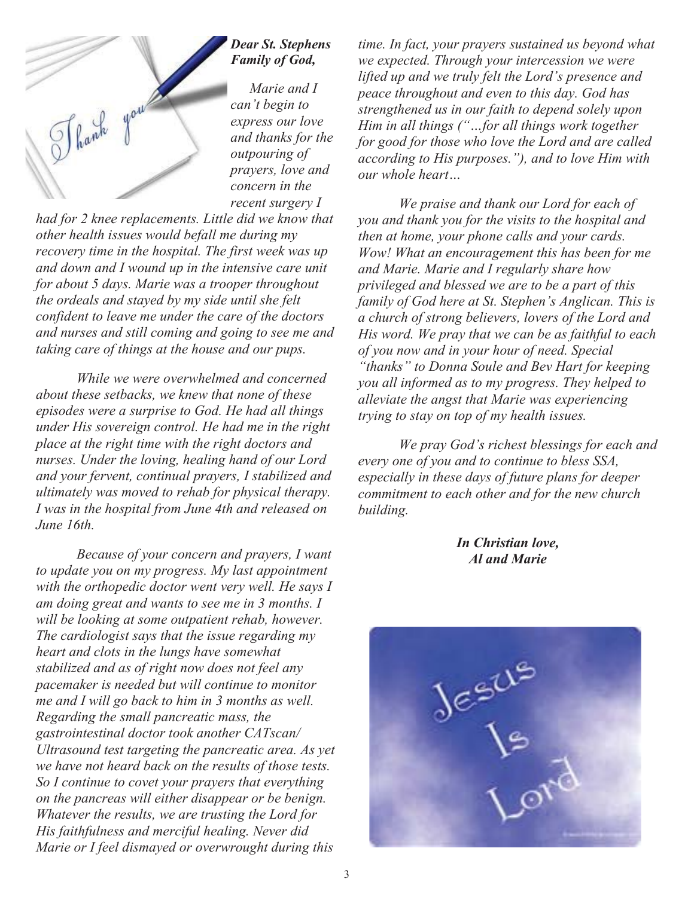

*recent surgery I had for 2 knee replacements. Little did we know that other health issues would befall me during my recovery time in the hospital. The first week was up and down and I wound up in the intensive care unit for about 5 days. Marie was a trooper throughout the ordeals and stayed by my side until she felt confident to leave me under the care of the doctors and nurses and still coming and going to see me and taking care of things at the house and our pups.* 

 *While we were overwhelmed and concerned about these setbacks, we knew that none of these episodes were a surprise to God. He had all things under His sovereign control. He had me in the right place at the right time with the right doctors and nurses. Under the loving, healing hand of our Lord and your fervent, continual prayers, I stabilized and ultimately was moved to rehab for physical therapy. I was in the hospital from June 4th and released on June 16th.* 

 *Because of your concern and prayers, I want to update you on my progress. My last appointment with the orthopedic doctor went very well. He says I am doing great and wants to see me in 3 months. I will be looking at some outpatient rehab, however. The cardiologist says that the issue regarding my heart and clots in the lungs have somewhat stabilized and as of right now does not feel any pacemaker is needed but will continue to monitor me and I will go back to him in 3 months as well. Regarding the small pancreatic mass, the gastrointestinal doctor took another CATscan/ Ultrasound test targeting the pancreatic area. As yet we have not heard back on the results of those tests. So I continue to covet your prayers that everything on the pancreas will either disappear or be benign. Whatever the results, we are trusting the Lord for His faithfulness and merciful healing. Never did Marie or I feel dismayed or overwrought during this* 

*time. In fact, your prayers sustained us beyond what we expected. Through your intercession we were lifted up and we truly felt the Lord's presence and peace throughout and even to this day. God has strengthened us in our faith to depend solely upon Him in all things ("…for all things work together for good for those who love the Lord and are called according to His purposes."), and to love Him with our whole heart…* 

 *We praise and thank our Lord for each of you and thank you for the visits to the hospital and then at home, your phone calls and your cards. Wow! What an encouragement this has been for me and Marie. Marie and I regularly share how privileged and blessed we are to be a part of this family of God here at St. Stephen's Anglican. This is a church of strong believers, lovers of the Lord and His word. We pray that we can be as faithful to each of you now and in your hour of need. Special "thanks" to Donna Soule and Bev Hart for keeping you all informed as to my progress. They helped to alleviate the angst that Marie was experiencing trying to stay on top of my health issues.* 

*We pray God's richest blessings for each and every one of you and to continue to bless SSA, especially in these days of future plans for deeper commitment to each other and for the new church building.* 

> *In Christian love, Al and Marie*

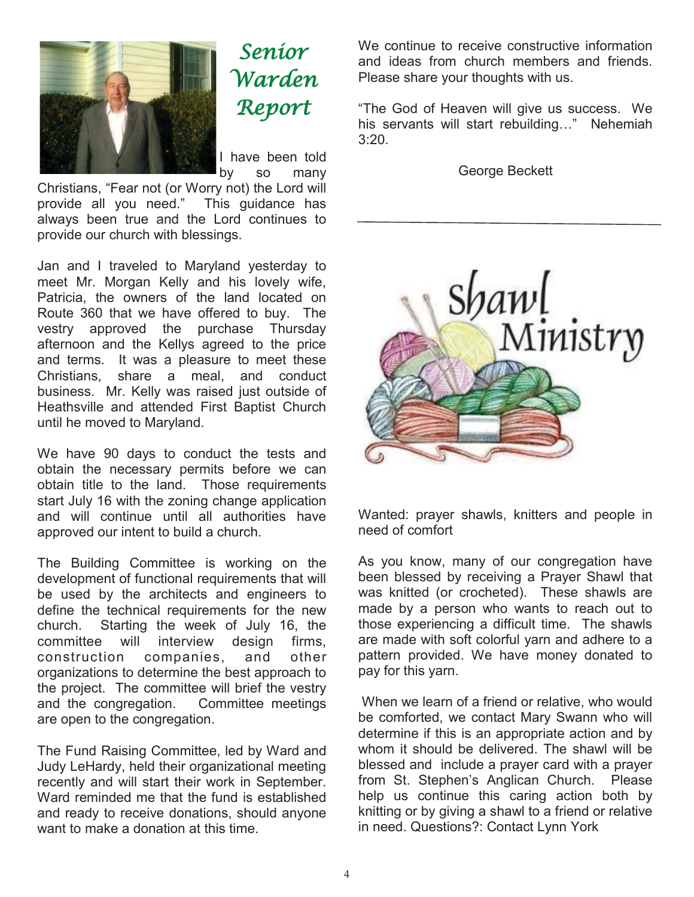

Senior Warden Report

I have been told by so many

Christians, "Fear not (or Worry not) the Lord will provide all you need." This guidance has always been true and the Lord continues to provide our church with blessings.

Jan and I traveled to Maryland yesterday to meet Mr. Morgan Kelly and his lovely wife, Patricia, the owners of the land located on Route 360 that we have offered to buy. The vestry approved the purchase Thursday afternoon and the Kellys agreed to the price and terms. It was a pleasure to meet these Christians, share a meal, and conduct business. Mr. Kelly was raised just outside of Heathsville and attended First Baptist Church until he moved to Maryland.

We have 90 days to conduct the tests and obtain the necessary permits before we can obtain title to the land. Those requirements start July 16 with the zoning change application and will continue until all authorities have approved our intent to build a church.

The Building Committee is working on the development of functional requirements that will be used by the architects and engineers to define the technical requirements for the new church. Starting the week of July 16, the committee will interview design firms, construction companies, and other organizations to determine the best approach to the project. The committee will brief the vestry and the congregation. Committee meetings are open to the congregation.

The Fund Raising Committee, led by Ward and Judy LeHardy, held their organizational meeting recently and will start their work in September. Ward reminded me that the fund is established and ready to receive donations, should anyone want to make a donation at this time.

We continue to receive constructive information and ideas from church members and friends. Please share your thoughts with us.

"The God of Heaven will give us success. We his servants will start rebuilding…" Nehemiah 3:20.

George Beckett



Wanted: prayer shawls, knitters and people in need of comfort

As you know, many of our congregation have been blessed by receiving a Prayer Shawl that was knitted (or crocheted). These shawls are made by a person who wants to reach out to those experiencing a difficult time. The shawls are made with soft colorful yarn and adhere to a pattern provided. We have money donated to pay for this yarn.

 When we learn of a friend or relative, who would be comforted, we contact Mary Swann who will determine if this is an appropriate action and by whom it should be delivered. The shawl will be blessed and include a prayer card with a prayer from St. Stephen's Anglican Church. Please help us continue this caring action both by knitting or by giving a shawl to a friend or relative in need. Questions?: Contact Lynn York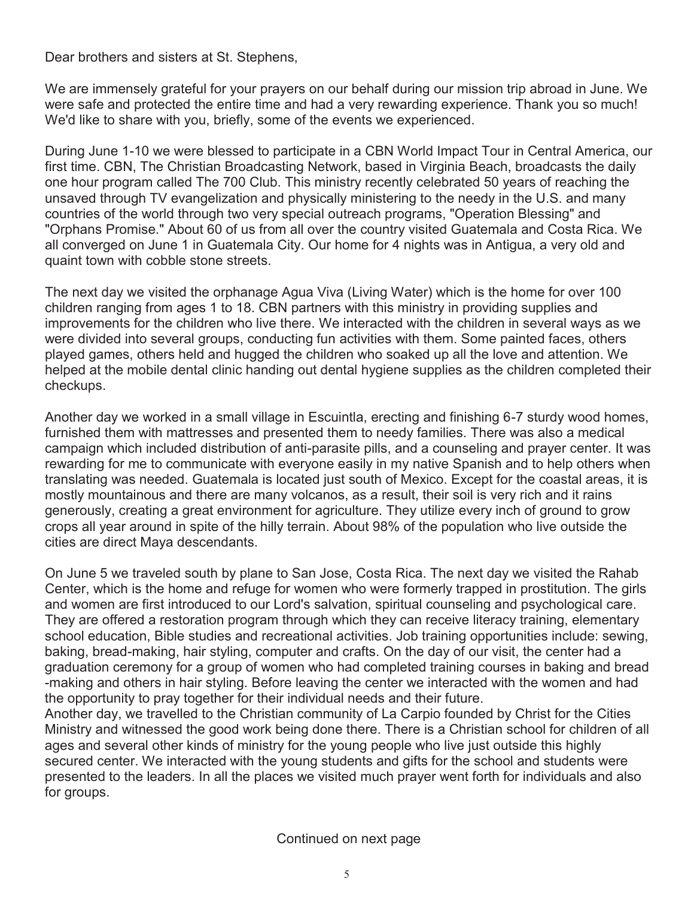Dear brothers and sisters at St. Stephens,

We are immensely grateful for your prayers on our behalf during our mission trip abroad in June. We were safe and protected the entire time and had a very rewarding experience. Thank you so much! We'd like to share with you, briefly, some of the events we experienced.

During June 1-10 we were blessed to participate in a CBN World Impact Tour in Central America, our first time. CBN, The Christian Broadcasting Network, based in Virginia Beach, broadcasts the daily one hour program called The 700 Club. This ministry recently celebrated 50 years of reaching the unsaved through TV evangelization and physically ministering to the needy in the U.S. and many countries of the world through two very special outreach programs, "Operation Blessing" and "Orphans Promise." About 60 of us from all over the country visited Guatemala and Costa Rica. We all converged on June 1 in Guatemala City. Our home for 4 nights was in Antigua, a very old and quaint town with cobble stone streets.

The next day we visited the orphanage Agua Viva (Living Water) which is the home for over 100 children ranging from ages 1 to 18. CBN partners with this ministry in providing supplies and improvements for the children who live there. We interacted with the children in several ways as we were divided into several groups, conducting fun activities with them. Some painted faces, others played games, others held and hugged the children who soaked up all the love and attention. We helped at the mobile dental clinic handing out dental hygiene supplies as the children completed their checkups.

Another day we worked in a small village in Escuintla, erecting and finishing 6-7 sturdy wood homes, furnished them with mattresses and presented them to needy families. There was also a medical campaign which included distribution of anti-parasite pills, and a counseling and prayer center. It was rewarding for me to communicate with everyone easily in my native Spanish and to help others when translating was needed. Guatemala is located just south of Mexico. Except for the coastal areas, it is mostly mountainous and there are many volcanos, as a result, their soil is very rich and it rains generously, creating a great environment for agriculture. They utilize every inch of ground to grow crops all year around in spite of the hilly terrain. About 98% of the population who live outside the cities are direct Maya descendants.

On June 5 we traveled south by plane to San Jose, Costa Rica. The next day we visited the Rahab Center, which is the home and refuge for women who were formerly trapped in prostitution. The girls and women are first introduced to our Lord's salvation, spiritual counseling and psychological care. They are offered a restoration program through which they can receive literacy training, elementary school education, Bible studies and recreational activities. Job training opportunities include: sewing, baking, bread-making, hair styling, computer and crafts. On the day of our visit, the center had a graduation ceremony for a group of women who had completed training courses in baking and bread -making and others in hair styling. Before leaving the center we interacted with the women and had the opportunity to pray together for their individual needs and their future.

Another day, we travelled to the Christian community of La Carpio founded by Christ for the Cities Ministry and witnessed the good work being done there. There is a Christian school for children of all ages and several other kinds of ministry for the young people who live just outside this highly secured center. We interacted with the young students and gifts for the school and students were presented to the leaders. In all the places we visited much prayer went forth for individuals and also for groups.

Continued on next page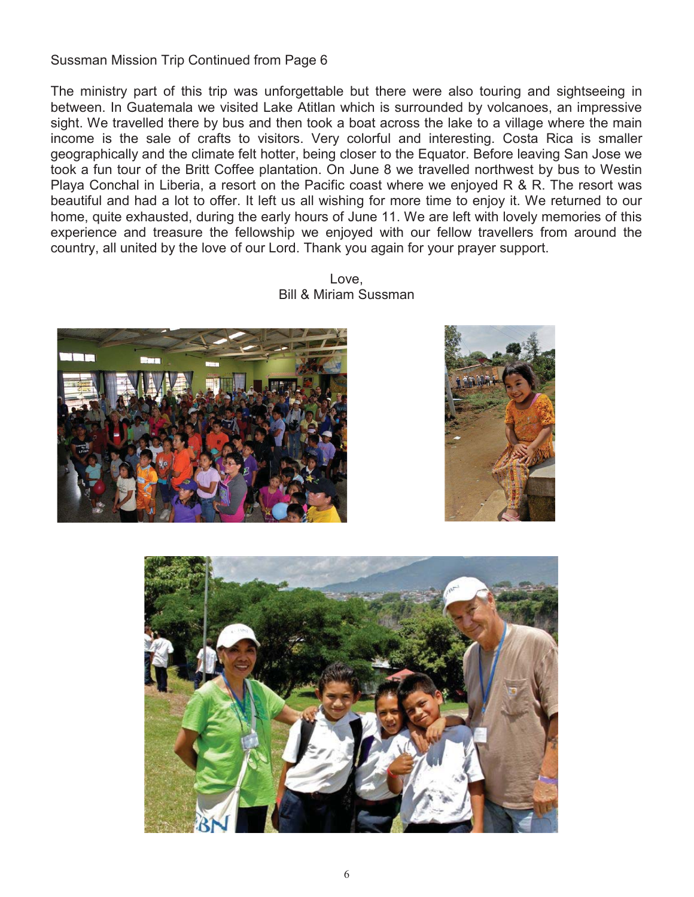Sussman Mission Trip Continued from Page 6

The ministry part of this trip was unforgettable but there were also touring and sightseeing in between. In Guatemala we visited Lake Atitlan which is surrounded by volcanoes, an impressive sight. We travelled there by bus and then took a boat across the lake to a village where the main income is the sale of crafts to visitors. Very colorful and interesting. Costa Rica is smaller geographically and the climate felt hotter, being closer to the Equator. Before leaving San Jose we took a fun tour of the Britt Coffee plantation. On June 8 we travelled northwest by bus to Westin Playa Conchal in Liberia, a resort on the Pacific coast where we enjoyed R & R. The resort was beautiful and had a lot to offer. It left us all wishing for more time to enjoy it. We returned to our home, quite exhausted, during the early hours of June 11. We are left with lovely memories of this experience and treasure the fellowship we enjoyed with our fellow travellers from around the country, all united by the love of our Lord. Thank you again for your prayer support.

> Love, Bill & Miriam Sussman





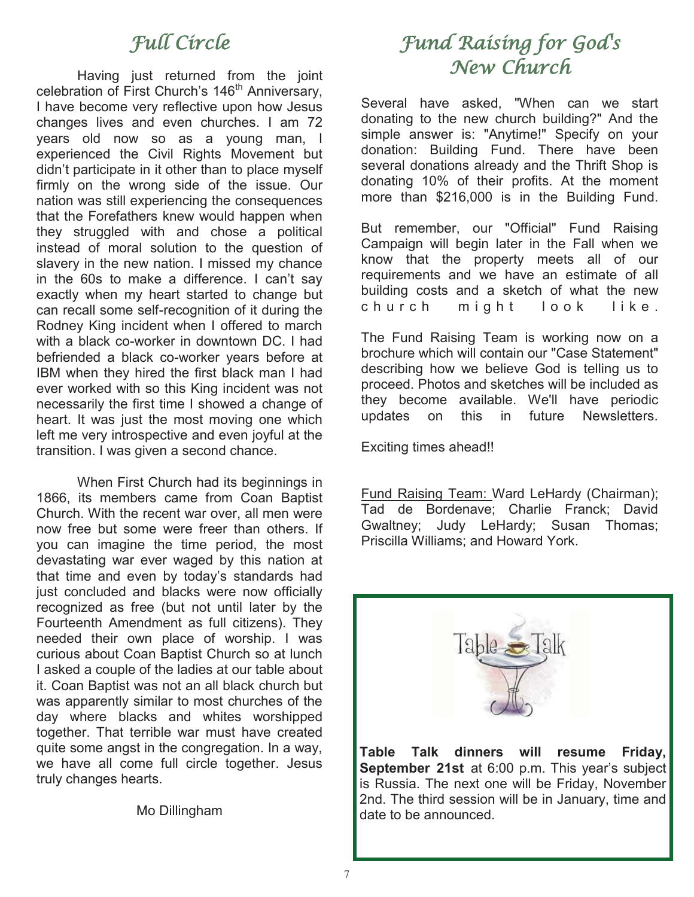# Full Circle

Having just returned from the joint celebration of First Church's 146<sup>th</sup> Anniversary, I have become very reflective upon how Jesus changes lives and even churches. I am 72 years old now so as a young man, I experienced the Civil Rights Movement but didn't participate in it other than to place myself firmly on the wrong side of the issue. Our nation was still experiencing the consequences that the Forefathers knew would happen when they struggled with and chose a political instead of moral solution to the question of slavery in the new nation. I missed my chance in the 60s to make a difference. I can't say exactly when my heart started to change but can recall some self-recognition of it during the Rodney King incident when I offered to march with a black co-worker in downtown DC. I had befriended a black co-worker years before at IBM when they hired the first black man I had ever worked with so this King incident was not necessarily the first time I showed a change of heart. It was just the most moving one which left me very introspective and even joyful at the transition. I was given a second chance.

 When First Church had its beginnings in 1866, its members came from Coan Baptist Church. With the recent war over, all men were now free but some were freer than others. If you can imagine the time period, the most devastating war ever waged by this nation at that time and even by today's standards had just concluded and blacks were now officially recognized as free (but not until later by the Fourteenth Amendment as full citizens). They needed their own place of worship. I was curious about Coan Baptist Church so at lunch I asked a couple of the ladies at our table about it. Coan Baptist was not an all black church but was apparently similar to most churches of the day where blacks and whites worshipped together. That terrible war must have created quite some angst in the congregation. In a way, we have all come full circle together. Jesus truly changes hearts.

Mo Dillingham

# Fund Raising for God's New Church

Several have asked, "When can we start donating to the new church building?" And the simple answer is: "Anytime!" Specify on your donation: Building Fund. There have been several donations already and the Thrift Shop is donating 10% of their profits. At the moment more than \$216,000 is in the Building Fund.

But remember, our "Official" Fund Raising Campaign will begin later in the Fall when we know that the property meets all of our requirements and we have an estimate of all building costs and a sketch of what the new church might look like.

The Fund Raising Team is working now on a brochure which will contain our "Case Statement" describing how we believe God is telling us to proceed. Photos and sketches will be included as they become available. We'll have periodic updates on this in future Newsletters.

Exciting times ahead!!

Fund Raising Team: Ward LeHardy (Chairman); Tad de Bordenave; Charlie Franck; David Gwaltney; Judy LeHardy; Susan Thomas; Priscilla Williams; and Howard York.



**Table Talk dinners will resume Friday, September 21st** at 6:00 p.m. This year's subject is Russia. The next one will be Friday, November 2nd. The third session will be in January, time and date to be announced.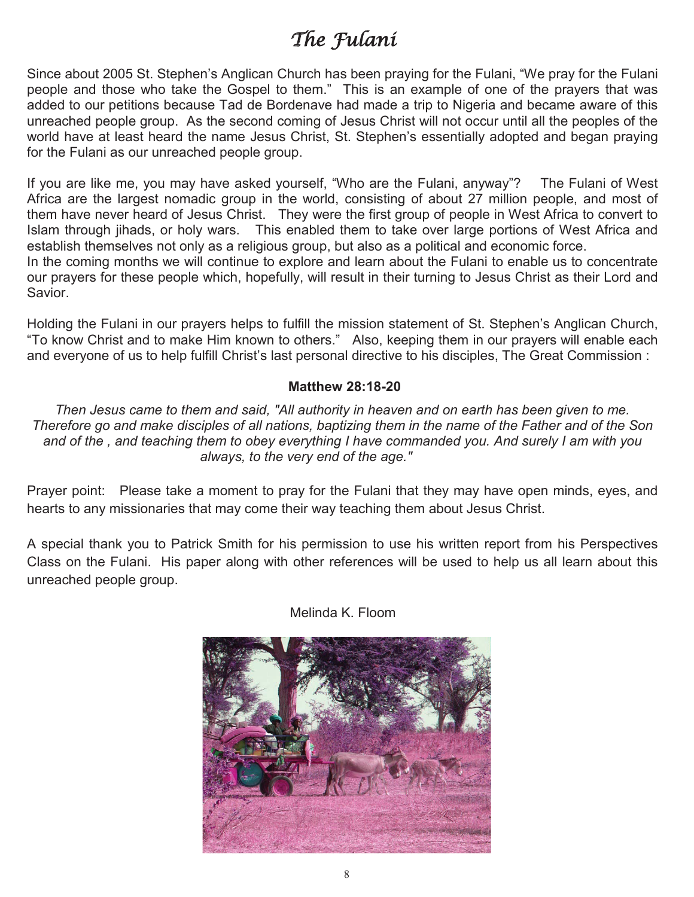# The Fulani

Since about 2005 St. Stephen's Anglican Church has been praying for the Fulani, "We pray for the Fulani people and those who take the Gospel to them." This is an example of one of the prayers that was added to our petitions because Tad de Bordenave had made a trip to Nigeria and became aware of this unreached people group. As the second coming of Jesus Christ will not occur until all the peoples of the world have at least heard the name Jesus Christ, St. Stephen's essentially adopted and began praying for the Fulani as our unreached people group.

If you are like me, you may have asked yourself, "Who are the Fulani, anyway"? The Fulani of West Africa are the largest nomadic group in the world, consisting of about 27 million people, and most of them have never heard of Jesus Christ. They were the first group of people in West Africa to convert to Islam through jihads, or holy wars. This enabled them to take over large portions of West Africa and establish themselves not only as a religious group, but also as a political and economic force. In the coming months we will continue to explore and learn about the Fulani to enable us to concentrate our prayers for these people which, hopefully, will result in their turning to Jesus Christ as their Lord and Savior.

Holding the Fulani in our prayers helps to fulfill the mission statement of St. Stephen's Anglican Church, "To know Christ and to make Him known to others." Also, keeping them in our prayers will enable each and everyone of us to help fulfill Christ's last personal directive to his disciples, The Great Commission :

### **Matthew 28:18-20**

*Then Jesus came to them and said, "All authority in heaven and on earth has been given to me. Therefore go and make disciples of all nations, baptizing them in the name of the Father and of the Son and of the , and teaching them to obey everything I have commanded you. And surely I am with you always, to the very end of the age."*

Prayer point: Please take a moment to pray for the Fulani that they may have open minds, eyes, and hearts to any missionaries that may come their way teaching them about Jesus Christ.

A special thank you to Patrick Smith for his permission to use his written report from his Perspectives Class on the Fulani. His paper along with other references will be used to help us all learn about this unreached people group.



Melinda K. Floom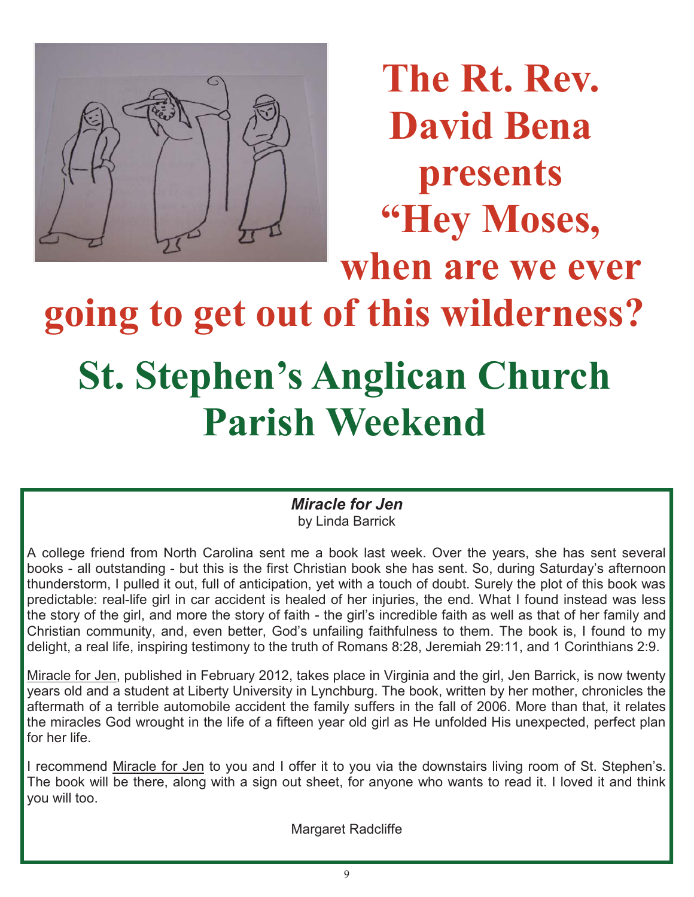

**The Rt. Rev. David Bena presents "Hey Moses, when are we ever going to get out of this wilderness? St. Stephen's Anglican Church Parish Weekend** 

> *Miracle for Jen*  by Linda Barrick

A college friend from North Carolina sent me a book last week. Over the years, she has sent several books - all outstanding - but this is the first Christian book she has sent. So, during Saturday's afternoon thunderstorm, I pulled it out, full of anticipation, yet with a touch of doubt. Surely the plot of this book was predictable: real-life girl in car accident is healed of her injuries, the end. What I found instead was less the story of the girl, and more the story of faith - the girl's incredible faith as well as that of her family and Christian community, and, even better, God's unfailing faithfulness to them. The book is, I found to my delight, a real life, inspiring testimony to the truth of Romans 8:28, Jeremiah 29:11, and 1 Corinthians 2:9.

Miracle for Jen, published in February 2012, takes place in Virginia and the girl, Jen Barrick, is now twenty years old and a student at Liberty University in Lynchburg. The book, written by her mother, chronicles the aftermath of a terrible automobile accident the family suffers in the fall of 2006. More than that, it relates the miracles God wrought in the life of a fifteen year old girl as He unfolded His unexpected, perfect plan for her life.

I recommend Miracle for Jen to you and I offer it to you via the downstairs living room of St. Stephen's. The book will be there, along with a sign out sheet, for anyone who wants to read it. I loved it and think you will too.

Margaret Radcliffe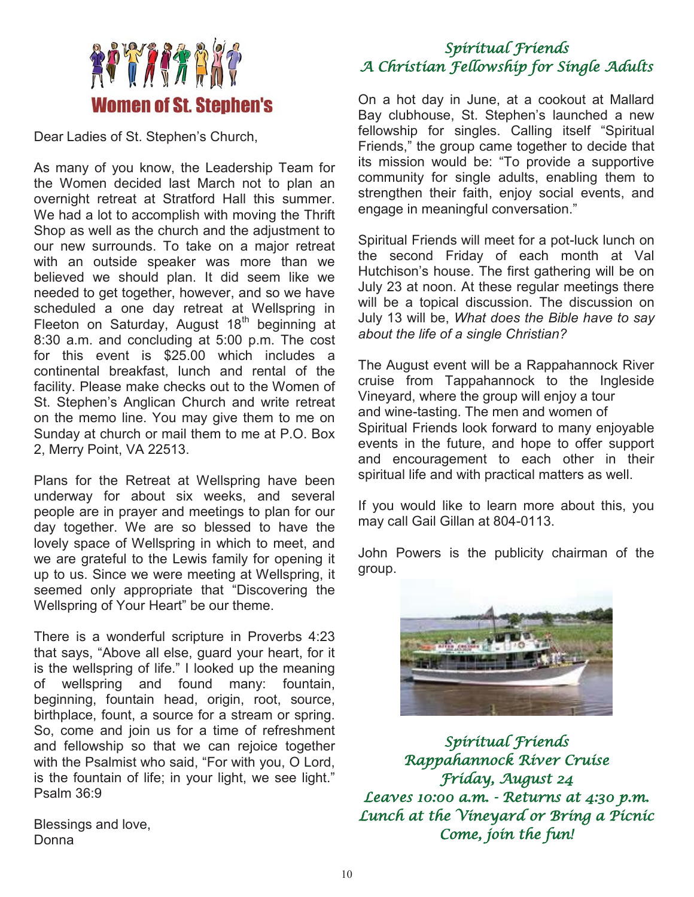

Dear Ladies of St. Stephen's Church,

As many of you know, the Leadership Team for the Women decided last March not to plan an overnight retreat at Stratford Hall this summer. We had a lot to accomplish with moving the Thrift Shop as well as the church and the adjustment to our new surrounds. To take on a major retreat with an outside speaker was more than we believed we should plan. It did seem like we needed to get together, however, and so we have scheduled a one day retreat at Wellspring in Fleeton on Saturday, August  $18<sup>th</sup>$  beginning at 8:30 a.m. and concluding at 5:00 p.m. The cost for this event is \$25.00 which includes a continental breakfast, lunch and rental of the facility. Please make checks out to the Women of St. Stephen's Anglican Church and write retreat on the memo line. You may give them to me on Sunday at church or mail them to me at P.O. Box 2, Merry Point, VA 22513.

Plans for the Retreat at Wellspring have been underway for about six weeks, and several people are in prayer and meetings to plan for our day together. We are so blessed to have the lovely space of Wellspring in which to meet, and we are grateful to the Lewis family for opening it up to us. Since we were meeting at Wellspring, it seemed only appropriate that "Discovering the Wellspring of Your Heart" be our theme.

There is a wonderful scripture in Proverbs 4:23 that says, "Above all else, guard your heart, for it is the wellspring of life." I looked up the meaning of wellspring and found many: fountain, beginning, fountain head, origin, root, source, birthplace, fount, a source for a stream or spring. So, come and join us for a time of refreshment and fellowship so that we can rejoice together with the Psalmist who said, "For with you, O Lord, is the fountain of life; in your light, we see light." Psalm 36:9

Blessings and love, Donna

# Spiritual Friends A Christian Fellowship for Single Adults

On a hot day in June, at a cookout at Mallard Bay clubhouse, St. Stephen's launched a new fellowship for singles. Calling itself "Spiritual Friends," the group came together to decide that its mission would be: "To provide a supportive community for single adults, enabling them to strengthen their faith, enjoy social events, and engage in meaningful conversation."

Spiritual Friends will meet for a pot-luck lunch on the second Friday of each month at Val Hutchison's house. The first gathering will be on July 23 at noon. At these regular meetings there will be a topical discussion. The discussion on July 13 will be, *What does the Bible have to say about the life of a single Christian?* 

The August event will be a Rappahannock River cruise from Tappahannock to the Ingleside Vineyard, where the group will enjoy a tour and wine-tasting. The men and women of Spiritual Friends look forward to many enjoyable events in the future, and hope to offer support and encouragement to each other in their spiritual life and with practical matters as well.

If you would like to learn more about this, you may call Gail Gillan at 804-0113.

John Powers is the publicity chairman of the group.



Spiritual Friends Rappahannock River Cruise Friday, August 24 Leaves 10:00 a.m. - Returns at 4:30 p.m. Lunch at the Vineyard or Bring a Picnic Come, join the fun!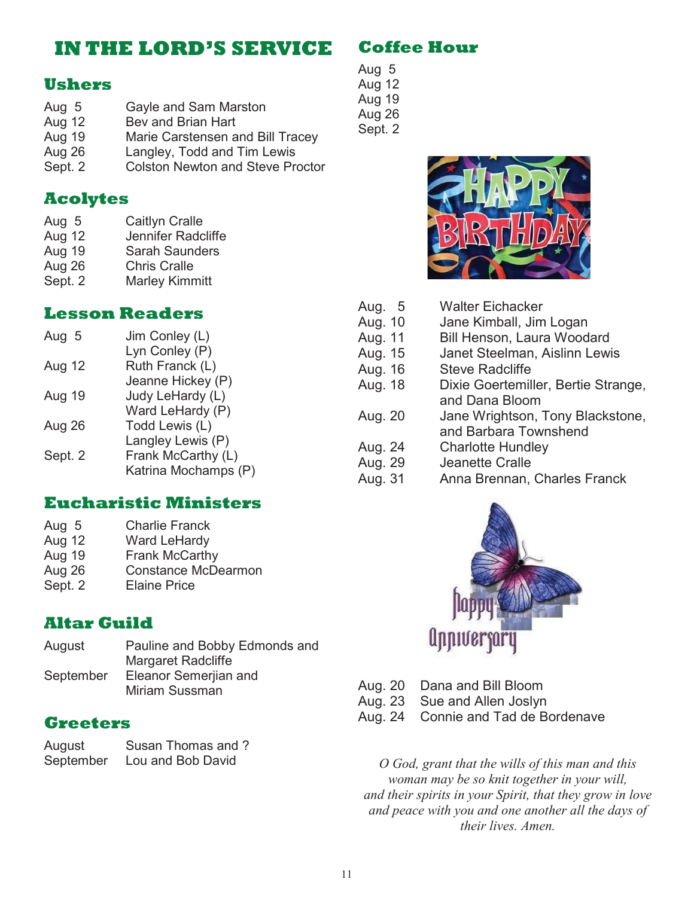# **IN THE LORD'S SERVICE**

## **Ushers**

- Aug 5 Gayle and Sam Marston
- Aug 12 Bev and Brian Hart
- Aug 19 Marie Carstensen and Bill Tracey
- Aug 26 Langley, Todd and Tim Lewis
- Sept. 2 Colston Newton and Steve Proctor

## **Acolytes**

- Aug 5 Caitlyn Cralle
- Aug 12 Jennifer Radcliffe<br>Aug 19 Sarah Saunders
- Sarah Saunders
- Aug 26 Chris Cralle
- Sept. 2 Marley Kimmitt

# **Lesson Readers**

| Aug 5   | Jim Conley (L)       |
|---------|----------------------|
|         | Lyn Conley (P)       |
| Aug 12  | Ruth Franck (L)      |
|         | Jeanne Hickey (P)    |
| Aug 19  | Judy LeHardy (L)     |
|         | Ward LeHardy (P)     |
| Aug 26  | Todd Lewis (L)       |
|         | Langley Lewis (P)    |
| Sept. 2 | Frank McCarthy (L)   |
|         | Katrina Mochamps (P) |

## **Eucharistic Ministers**

| Aug 5   | <b>Charlie Franck</b>      |
|---------|----------------------------|
| Aug 12  | Ward LeHardy               |
| Aug 19  | Frank McCarthy             |
| Aug 26  | <b>Constance McDearmon</b> |
| Sept. 2 | <b>Elaine Price</b>        |

# **Altar Guild**

| August    | Pauline and Bobby Edmonds and |
|-----------|-------------------------------|
|           | Margaret Radcliffe            |
| September | Eleanor Semerjian and         |
|           | Miriam Sussman                |

## **Greeters**

| August    | Susan Thomas and ? |
|-----------|--------------------|
| September | Lou and Bob David  |

# **Coffee Hour**

Aug 5 Aug 12 Aug 19 Aug 26 Sept. 2



| Aug. 5  | <b>Walter Eichacker</b>             |
|---------|-------------------------------------|
| Aug. 10 | Jane Kimball, Jim Logan             |
| Aug. 11 | Bill Henson, Laura Woodard          |
| Aug. 15 | Janet Steelman, Aislinn Lewis       |
| Aug. 16 | <b>Steve Radcliffe</b>              |
| Aug. 18 | Dixie Goertemiller, Bertie Strange, |
|         | and Dana Bloom                      |
| Aug. 20 | Jane Wrightson, Tony Blackstone,    |
|         | and Barbara Townshend               |
| Aug. 24 | <b>Charlotte Hundley</b>            |
| Aug. 29 | Jeanette Cralle                     |
| Aug. 31 | Anna Brennan, Charles Franck        |
|         |                                     |



- Aug. 20 Dana and Bill Bloom
- Aug. 23 Sue and Allen Joslyn
- Aug. 24 Connie and Tad de Bordenave

*O God, grant that the wills of this man and this woman may be so knit together in your will, and their spirits in your Spirit, that they grow in love and peace with you and one another all the days of their lives. Amen.*